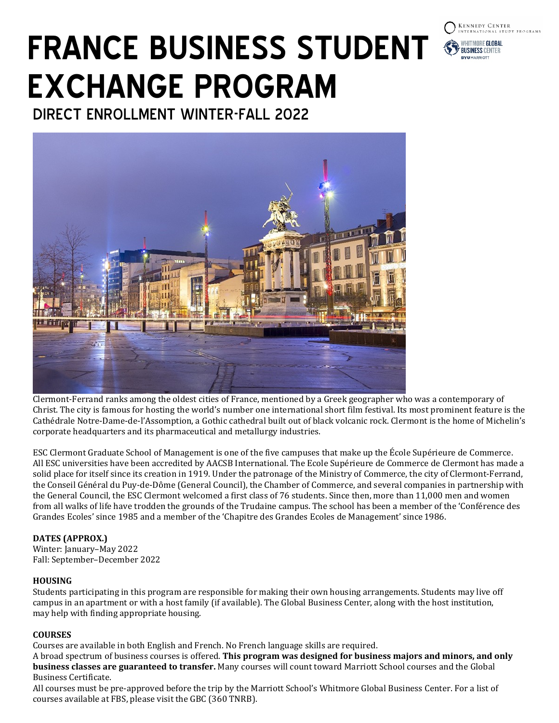# **FRANCE BUSINESS STUDENT EXCHANGE PROGRAM**

**KENNEDY CENTER** 

WHITMORE GLOBAL **RUSINESS CENTER** 

DIRECT ENROLLMENT WINTER-FALL 2022



Clermont-Ferrand ranks among the oldest cities of France, mentioned by a Greek geographer who was a contemporary of Christ. The city is famous for hosting the world's number one international short film festival. Its most prominent feature is the Cathédrale Notre-Dame-de-l'Assomption, a Gothic cathedral built out of black volcanic rock. Clermont is the home of Michelin's corporate headquarters and its pharmaceutical and metallurgy industries.

ESC Clermont Graduate School of Management is one of the five campuses that make up the École Supérieure de Commerce. All ESC universities have been accredited by AACSB International. The Ecole Supérieure de Commerce de Clermont has made a solid place for itself since its creation in 1919. Under the patronage of the Ministry of Commerce, the city of Clermont-Ferrand, the Conseil Général du Puy-de-Dôme (General Council), the Chamber of Commerce, and several companies in partnership with the General Council, the ESC Clermont welcomed a first class of 76 students. Since then, more than 11,000 men and women from all walks of life have trodden the grounds of the Trudaine campus. The school has been a member of the 'Conférence des Grandes Ecoles' since 1985 and a member of the 'Chapitre des Grandes Ecoles de Management' since1986.

# **DATES (APPROX.)**

Winter: January–May 2022 Fall: September–December 2022

# **HOUSING**

Students participating in this program are responsible for making their own housing arrangements. Students may live off campus in an apartment or with a host family (if available). The Global Business Center, along with the host institution, may help with finding appropriate housing.

# **COURSES**

Courses are available in both English and French. No French language skills are required.

A broad spectrum of business courses is offered. **This program was designed for business majors and minors, and only business classes are guaranteed to transfer.** Many courses will count toward Marriott School courses and the Global Business Certificate.

All courses must be pre-approved before the trip by the Marriott School's Whitmore Global Business Center. For a list of courses available at FBS, please visit the GBC (360 TNRB).